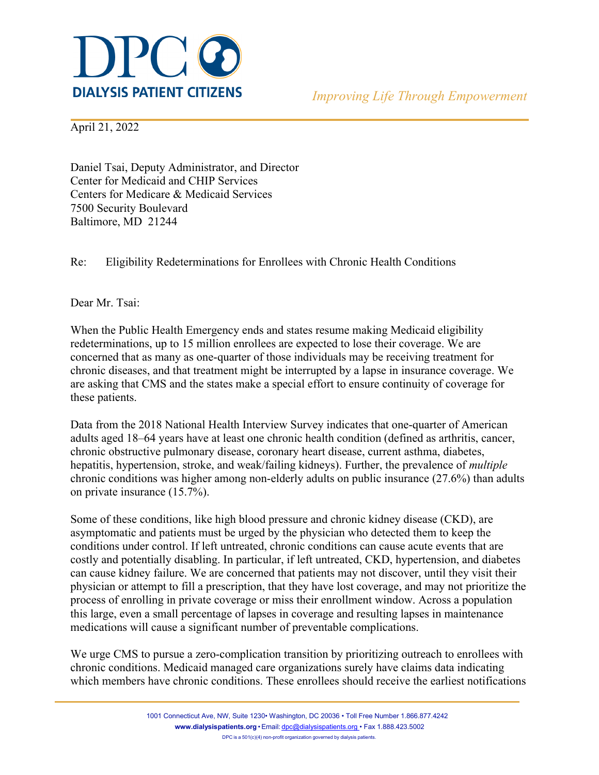

April 21, 2022

Daniel Tsai, Deputy Administrator, and Director Center for Medicaid and CHIP Services Centers for Medicare & Medicaid Services 7500 Security Boulevard Baltimore, MD 21244

Re: Eligibility Redeterminations for Enrollees with Chronic Health Conditions

Dear Mr. Tsai:

When the Public Health Emergency ends and states resume making Medicaid eligibility redeterminations, up to 15 million enrollees are expected to lose their coverage. We are concerned that as many as one-quarter of those individuals may be receiving treatment for chronic diseases, and that treatment might be interrupted by a lapse in insurance coverage. We are asking that CMS and the states make a special effort to ensure continuity of coverage for these patients.

Data from the 2018 National Health Interview Survey indicates that one-quarter of American adults aged 18–64 years have at least one chronic health condition (defined as arthritis, cancer, chronic obstructive pulmonary disease, coronary heart disease, current asthma, diabetes, hepatitis, hypertension, stroke, and weak/failing kidneys). Further, the prevalence of *multiple* chronic conditions was higher among non-elderly adults on public insurance (27.6%) than adults on private insurance (15.7%).

Some of these conditions, like high blood pressure and chronic kidney disease (CKD), are asymptomatic and patients must be urged by the physician who detected them to keep the conditions under control. If left untreated, chronic conditions can cause acute events that are costly and potentially disabling. In particular, if left untreated, CKD, hypertension, and diabetes can cause kidney failure. We are concerned that patients may not discover, until they visit their physician or attempt to fill a prescription, that they have lost coverage, and may not prioritize the process of enrolling in private coverage or miss their enrollment window. Across a population this large, even a small percentage of lapses in coverage and resulting lapses in maintenance medications will cause a significant number of preventable complications.

We urge CMS to pursue a zero-complication transition by prioritizing outreach to enrollees with chronic conditions. Medicaid managed care organizations surely have claims data indicating which members have chronic conditions. These enrollees should receive the earliest notifications